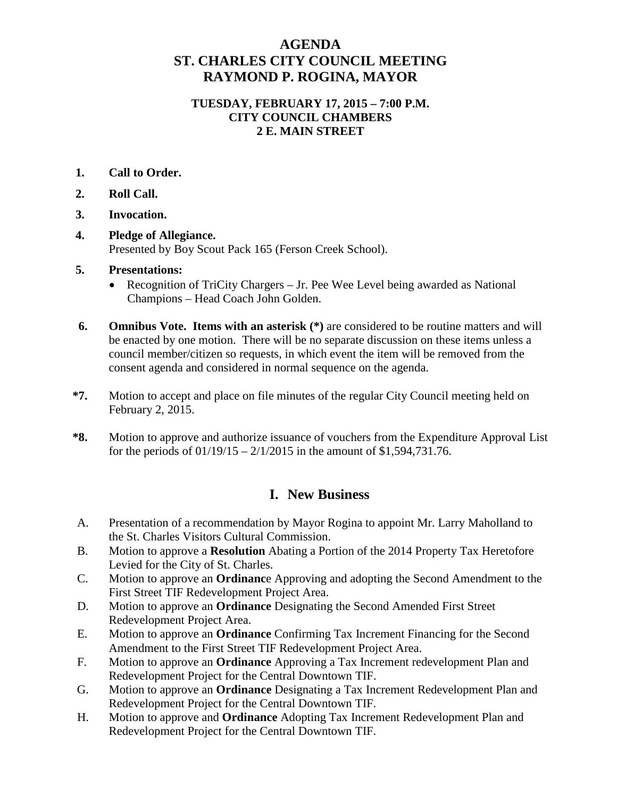## **AGENDA ST. CHARLES CITY COUNCIL MEETING RAYMOND P. ROGINA, MAYOR**

#### **TUESDAY, FEBRUARY 17, 2015 – 7:00 P.M. CITY COUNCIL CHAMBERS 2 E. MAIN STREET**

- **1. Call to Order.**
- **2. Roll Call.**
- **3. Invocation.**
- **4. Pledge of Allegiance.** Presented by Boy Scout Pack 165 (Ferson Creek School).
- **5. Presentations:**
	- Recognition of TriCity Chargers Jr. Pee Wee Level being awarded as National Champions – Head Coach John Golden.
- **6. Omnibus Vote. Items with an asterisk (\*)** are considered to be routine matters and will be enacted by one motion. There will be no separate discussion on these items unless a council member/citizen so requests, in which event the item will be removed from the consent agenda and considered in normal sequence on the agenda.
- **\*7.** Motion to accept and place on file minutes of the regular City Council meeting held on February 2, 2015.
- **\*8.** Motion to approve and authorize issuance of vouchers from the Expenditure Approval List for the periods of  $01/19/15 - 2/1/2015$  in the amount of \$1,594,731.76.

# **I. New Business**

- A. Presentation of a recommendation by Mayor Rogina to appoint Mr. Larry Maholland to the St. Charles Visitors Cultural Commission.
- B. Motion to approve a **Resolution** Abating a Portion of the 2014 Property Tax Heretofore Levied for the City of St. Charles.
- C. Motion to approve an **Ordinanc**e Approving and adopting the Second Amendment to the First Street TIF Redevelopment Project Area.
- D. Motion to approve an **Ordinance** Designating the Second Amended First Street Redevelopment Project Area.
- E. Motion to approve an **Ordinance** Confirming Tax Increment Financing for the Second Amendment to the First Street TIF Redevelopment Project Area.
- F. Motion to approve an **Ordinance** Approving a Tax Increment redevelopment Plan and Redevelopment Project for the Central Downtown TIF.
- G. Motion to approve an **Ordinance** Designating a Tax Increment Redevelopment Plan and Redevelopment Project for the Central Downtown TIF.
- H. Motion to approve and **Ordinance** Adopting Tax Increment Redevelopment Plan and Redevelopment Project for the Central Downtown TIF.